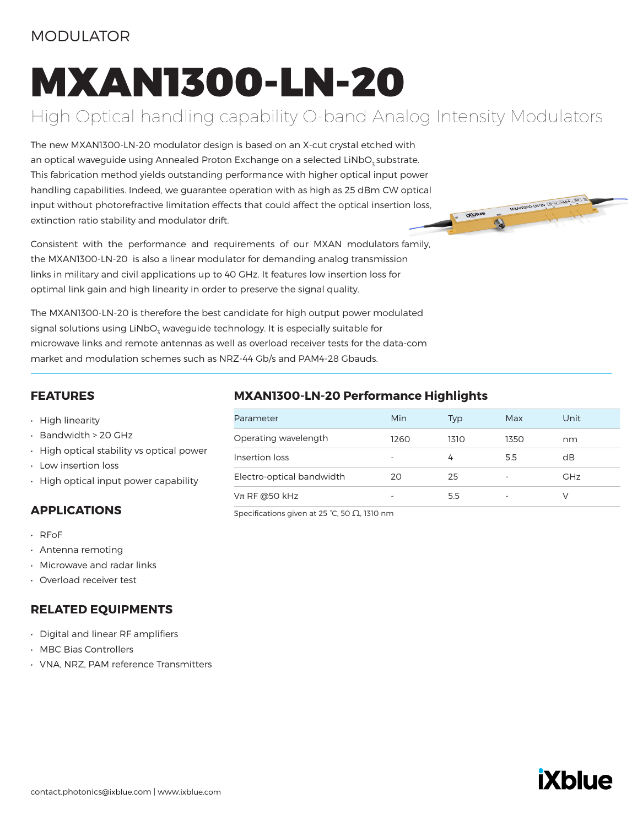#### MODULATOR

# MXAN1300-LN-20

## High Optical handling capability O-band Analog Intensity Modulators

The new MXAN1300-LN-20 modulator design is based on an X-cut crystal etched with an optical waveguide using Annealed Proton Exchange on a selected LiNbO<sub>3</sub> substrate. This fabrication method yields outstanding performance with higher optical input power handling capabilities. Indeed, we guarantee operation with as high as 25 dBm CW optical input without photorefractive limitation effects that could affect the optical insertion loss, extinction ratio stability and modulator drift.

Consistent with the performance and requirements of our MXAN modulators family, the MXAN1300-LN-20 is also a linear modulator for demanding analog transmission links in military and civil applications up to 40 GHz. It features low insertion loss for optimal link gain and high linearity in order to preserve the signal quality.

The MXAN1300-LN-20 is therefore the best candidate for high output power modulated signal solutions using LiNbO $_{\textrm{\tiny{3}}}$  waveguide technology. It is especially suitable for microwave links and remote antennas as well as overload receiver tests for the data-com market and modulation schemes such as NRZ-44 Gb/s and PAM4-28 Gbauds.

#### **FEATURES**

- High linearity
- Bandwidth > 20 GHz
- High optical stability vs optical power
- Low insertion loss
- High optical input power capability

#### **APPLICATIONS**

- RFoF
- Antenna remoting
- Microwave and radar links
- Overload receiver test

#### **RELATED EQUIPMENTS**

- Digital and linear RF amplifiers
- MBC Bias Controllers
- VNA, NRZ, PAM reference Transmitters

#### **MXAN1300-LN-20 Performance Highlights**

| Parameter                 | Min  | Typ  | Max  | Unit       |
|---------------------------|------|------|------|------------|
| Operating wavelength      | 1260 | 1310 | 1350 | nm         |
| Insertion loss            |      | 4    | 5.5  | dB         |
| Electro-optical bandwidth | 20   | 25   |      | <b>GHz</b> |
| $Vπ$ RF @50 kHz           |      | 5.5  |      |            |

Specifications given at 25 °C, 50 Ω, 1310 nm



MXANISOO-LH-20 (SCHL-OOSTIAXA)

**E IXDING** 

**O**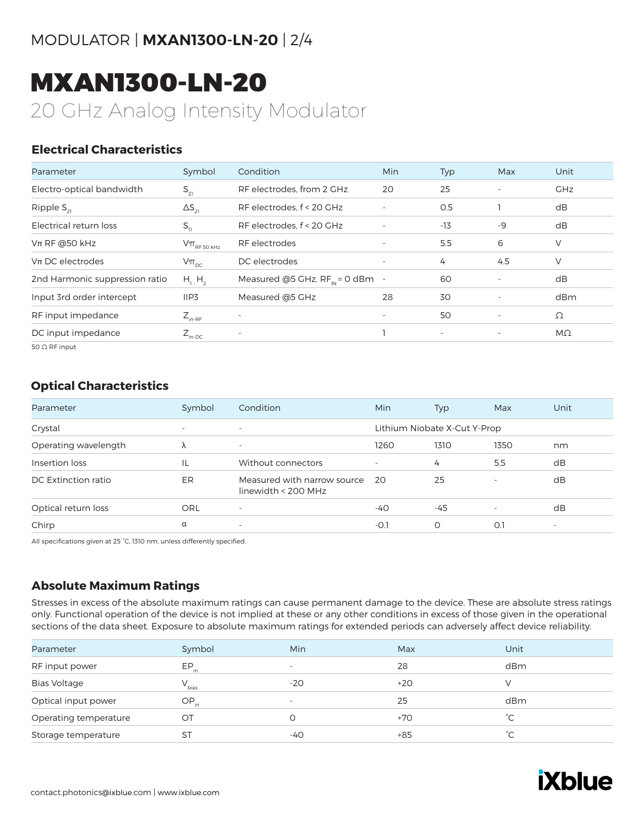## MXAN1300-LN-20

20 GHz Analog Intensity Modulator

#### **Electrical Characteristics**

| Parameter                      | Symbol                                                                              | Condition                            | Min                      | <b>Typ</b>               | Max                      | Unit       |
|--------------------------------|-------------------------------------------------------------------------------------|--------------------------------------|--------------------------|--------------------------|--------------------------|------------|
| Electro-optical bandwidth      | $S_{21}$                                                                            | RF electrodes, from 2 GHz            | 20                       | 25                       | $\overline{\phantom{a}}$ | <b>GHz</b> |
| Ripple $S_{21}$                | $\Delta S_{21}$                                                                     | RF electrodes, f < 20 GHz            | $\overline{\phantom{a}}$ | O.5                      |                          | dB         |
| Electrical return loss         | $S_{11}$                                                                            | RF electrodes, f < 20 GHz            | ٠                        | $-13$                    | $-9$                     | dB         |
| $Vπ$ RF @50 kHz                | $\mathsf{V}\pi_{\scriptscriptstyle\mathrm{RF}\,50\,\scriptscriptstyle\mathrm{kHz}}$ | RF electrodes                        | $\overline{\phantom{a}}$ | 5.5                      | 6                        | V          |
| $Vπ$ DC electrodes             | $V\pi_{nc}$                                                                         | DC electrodes                        | $\overline{\phantom{a}}$ | 4                        | 4.5                      | V          |
| 2nd Harmonic suppression ratio | $H_1$ , $H_2$                                                                       | Measured @5 GHz, $RF_{in} = 0$ dBm - |                          | 60                       | $\overline{\phantom{a}}$ | dB         |
| Input 3rd order intercept      | IIP3                                                                                | Measured @5 GHz                      | 28                       | 30                       | ٠                        | dBm        |
| RF input impedance             | $Z_{\text{in-RF}}$                                                                  | $\overline{\phantom{a}}$             | $\overline{\phantom{a}}$ | 50                       | $\overline{\phantom{a}}$ | Ω          |
| DC input impedance             | $Z_{\text{in-DC}}$                                                                  | $\overline{\phantom{a}}$             |                          | $\overline{\phantom{a}}$ | $\overline{\phantom{a}}$ | MΩ         |
| $50$ O RF input                |                                                                                     |                                      |                          |                          |                          |            |

50 Ω RF input

#### **Optical Characteristics**

| Parameter            | Symbol                   | Condition                                          | <b>Min</b>               | Typ                          | Max                      | Unit                     |
|----------------------|--------------------------|----------------------------------------------------|--------------------------|------------------------------|--------------------------|--------------------------|
| Crystal              | $\overline{\phantom{a}}$ | $\overline{\phantom{a}}$                           |                          | Lithium Niobate X-Cut Y-Prop |                          |                          |
| Operating wavelength |                          | $\overline{\phantom{a}}$                           | 1260                     | 1310                         | 1350                     | nm                       |
| Insertion loss       | IL                       | Without connectors                                 | $\overline{\phantom{0}}$ | 4                            | 5.5                      | dB                       |
| DC Extinction ratio  | ER                       | Measured with narrow source<br>linewidth < 200 MHz | -20                      | 25                           | $\overline{\phantom{a}}$ | dB                       |
| Optical return loss  | ORL                      | $\overline{\phantom{a}}$                           | -40                      | -45                          |                          | dB                       |
| Chirp                | α                        | $\overline{\phantom{a}}$                           | -O.1                     | O                            | 0.1                      | $\overline{\phantom{a}}$ |

All specifications given at 25 °C, 1310 nm, unless differently specified.

#### **Absolute Maximum Ratings**

Stresses in excess of the absolute maximum ratings can cause permanent damage to the device. These are absolute stress ratings only. Functional operation of the device is not implied at these or any other conditions in excess of those given in the operational sections of the data sheet. Exposure to absolute maximum ratings for extended periods can adversely affect device reliability.

| Parameter             | Symbol     | Min.                     | Max   | Unit |
|-----------------------|------------|--------------------------|-------|------|
| RF input power        | $EP_{in}$  | $\overline{\phantom{0}}$ | 28    | dBm  |
| <b>Bias Voltage</b>   | $V_{bias}$ | $-20$                    | $+20$ |      |
| Optical input power   | $OP_{in}$  | $\overline{\phantom{0}}$ | 25    | dBm  |
| Operating temperature | ОT         |                          | $+70$ | °∩   |
| Storage temperature   | SТ         | -40                      | $+85$ | °C.  |
|                       |            |                          |       |      |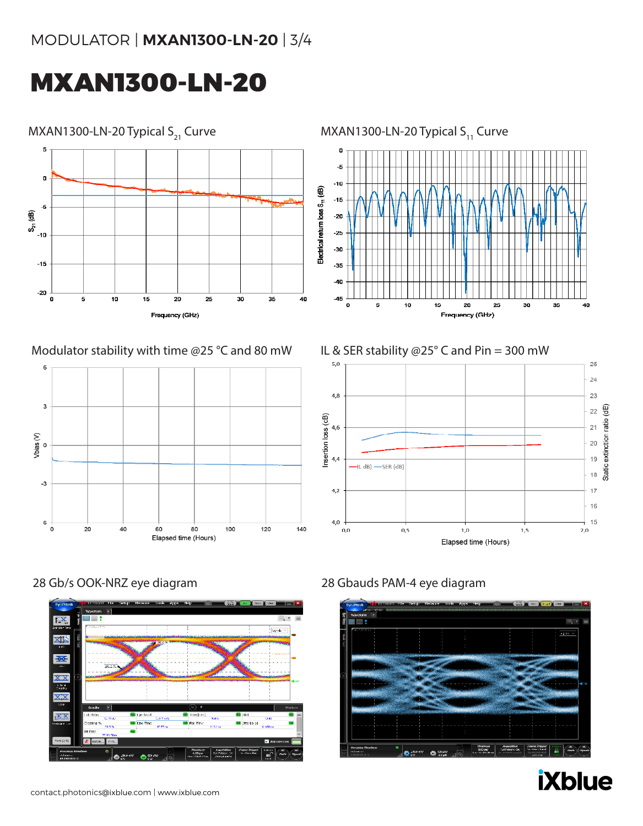## MXAN1300-LN-20



#### Modulator stability with time @25 °C and 80 mW IL & SER stability @25° C and Pin = 300 mW









#### 28 Gb/s OOK-NRZ eye diagram 28 Gbauds PAM-4 eye diagram